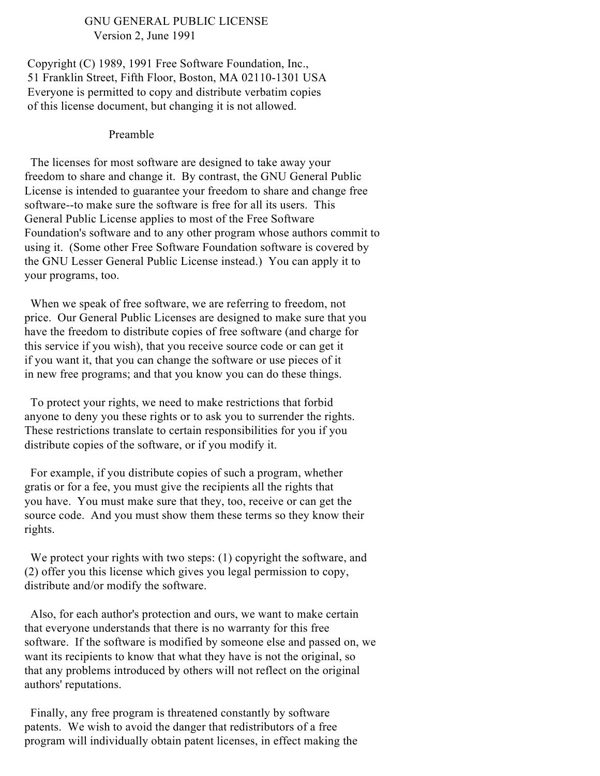#### GNU GENERAL PUBLIC LICENSE Version 2, June 1991

Copyright (C) 1989, 1991 Free Software Foundation, Inc., 51 Franklin Street, Fifth Floor, Boston, MA 02110-1301 USA Everyone is permitted to copy and distribute verbatim copies of this license document, but changing it is not allowed.

#### Preamble

The licenses for most software are designed to take away your freedom to share and change it. By contrast, the GNU General Public License is intended to guarantee your freedom to share and change free software--to make sure the software is free for all its users. This General Public License applies to most of the Free Software Foundation's software and to any other program whose authors commit to using it. (Some other Free Software Foundation software is covered by the GNU Lesser General Public License instead.) You can apply it to your programs, too.

When we speak of free software, we are referring to freedom, not price. Our General Public Licenses are designed to make sure that you have the freedom to distribute copies of free software (and charge for this service if you wish), that you receive source code or can get it if you want it, that you can change the software or use pieces of it in new free programs; and that you know you can do these things.

To protect your rights, we need to make restrictions that forbid anyone to deny you these rights or to ask you to surrender the rights. These restrictions translate to certain responsibilities for you if you distribute copies of the software, or if you modify it.

For example, if you distribute copies of such a program, whether gratis or for a fee, you must give the recipients all the rights that you have. You must make sure that they, too, receive or can get the source code. And you must show them these terms so they know their rights.

We protect your rights with two steps: (1) copyright the software, and (2) offer you this license which gives you legal permission to copy, distribute and/or modify the software.

Also, for each author's protection and ours, we want to make certain that everyone understands that there is no warranty for this free software. If the software is modified by someone else and passed on, we want its recipients to know that what they have is not the original, so that any problems introduced by others will not reflect on the original authors' reputations.

Finally, any free program is threatened constantly by software patents. We wish to avoid the danger that redistributors of a free program will individually obtain patent licenses, in effect making the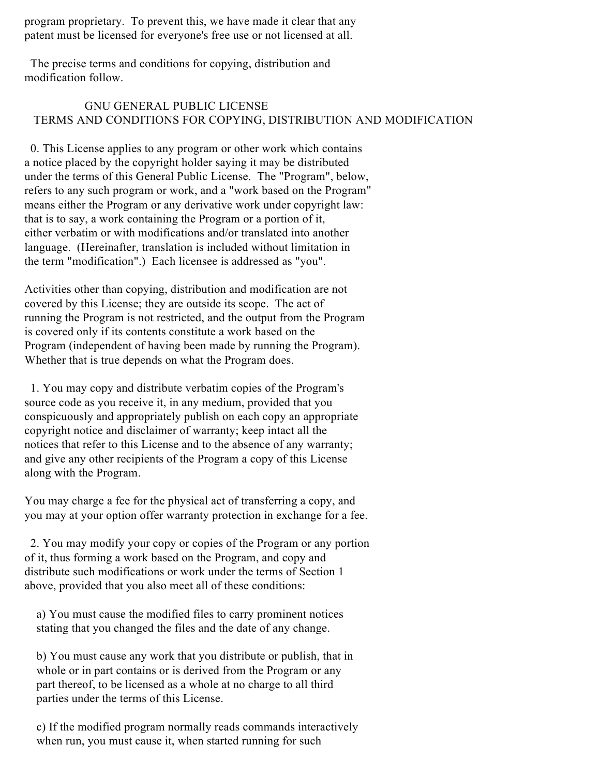program proprietary. To prevent this, we have made it clear that any patent must be licensed for everyone's free use or not licensed at all.

The precise terms and conditions for copying, distribution and modification follow.

# GNU GENERAL PUBLIC LICENSE TERMS AND CONDITIONS FOR COPYING, DISTRIBUTION AND MODIFICATION

0. This License applies to any program or other work which contains a notice placed by the copyright holder saying it may be distributed under the terms of this General Public License. The "Program", below, refers to any such program or work, and a "work based on the Program" means either the Program or any derivative work under copyright law: that is to say, a work containing the Program or a portion of it, either verbatim or with modifications and/or translated into another language. (Hereinafter, translation is included without limitation in the term "modification".) Each licensee is addressed as "you".

Activities other than copying, distribution and modification are not covered by this License; they are outside its scope. The act of running the Program is not restricted, and the output from the Program is covered only if its contents constitute a work based on the Program (independent of having been made by running the Program). Whether that is true depends on what the Program does.

1. You may copy and distribute verbatim copies of the Program's source code as you receive it, in any medium, provided that you conspicuously and appropriately publish on each copy an appropriate copyright notice and disclaimer of warranty; keep intact all the notices that refer to this License and to the absence of any warranty; and give any other recipients of the Program a copy of this License along with the Program.

You may charge a fee for the physical act of transferring a copy, and you may at your option offer warranty protection in exchange for a fee.

2. You may modify your copy or copies of the Program or any portion of it, thus forming a work based on the Program, and copy and distribute such modifications or work under the terms of Section 1 above, provided that you also meet all of these conditions:

a) You must cause the modified files to carry prominent notices stating that you changed the files and the date of any change.

b) You must cause any work that you distribute or publish, that in whole or in part contains or is derived from the Program or any part thereof, to be licensed as a whole at no charge to all third parties under the terms of this License.

c) If the modified program normally reads commands interactively when run, you must cause it, when started running for such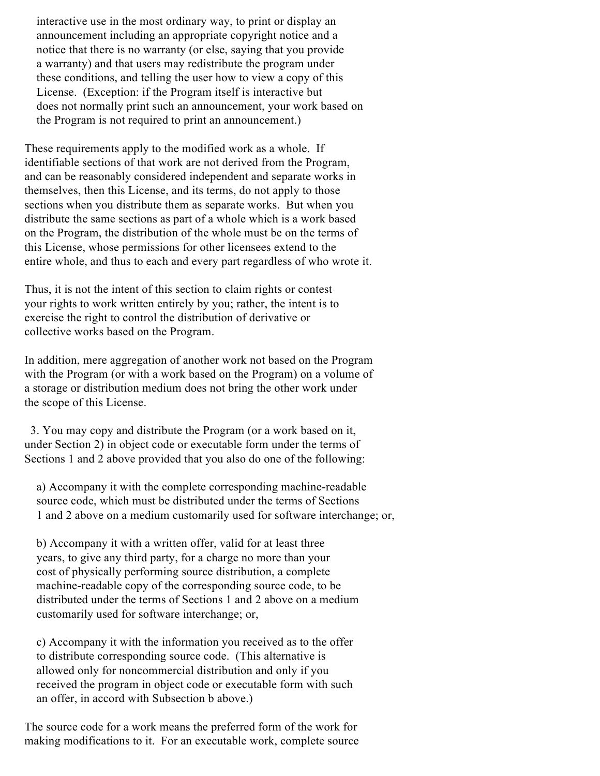interactive use in the most ordinary way, to print or display an announcement including an appropriate copyright notice and a notice that there is no warranty (or else, saying that you provide a warranty) and that users may redistribute the program under these conditions, and telling the user how to view a copy of this License. (Exception: if the Program itself is interactive but does not normally print such an announcement, your work based on the Program is not required to print an announcement.)

These requirements apply to the modified work as a whole. If identifiable sections of that work are not derived from the Program, and can be reasonably considered independent and separate works in themselves, then this License, and its terms, do not apply to those sections when you distribute them as separate works. But when you distribute the same sections as part of a whole which is a work based on the Program, the distribution of the whole must be on the terms of this License, whose permissions for other licensees extend to the entire whole, and thus to each and every part regardless of who wrote it.

Thus, it is not the intent of this section to claim rights or contest your rights to work written entirely by you; rather, the intent is to exercise the right to control the distribution of derivative or collective works based on the Program.

In addition, mere aggregation of another work not based on the Program with the Program (or with a work based on the Program) on a volume of a storage or distribution medium does not bring the other work under the scope of this License.

3. You may copy and distribute the Program (or a work based on it, under Section 2) in object code or executable form under the terms of Sections 1 and 2 above provided that you also do one of the following:

a) Accompany it with the complete corresponding machine-readable source code, which must be distributed under the terms of Sections 1 and 2 above on a medium customarily used for software interchange; or,

b) Accompany it with a written offer, valid for at least three years, to give any third party, for a charge no more than your cost of physically performing source distribution, a complete machine-readable copy of the corresponding source code, to be distributed under the terms of Sections 1 and 2 above on a medium customarily used for software interchange; or,

c) Accompany it with the information you received as to the offer to distribute corresponding source code. (This alternative is allowed only for noncommercial distribution and only if you received the program in object code or executable form with such an offer, in accord with Subsection b above.)

The source code for a work means the preferred form of the work for making modifications to it. For an executable work, complete source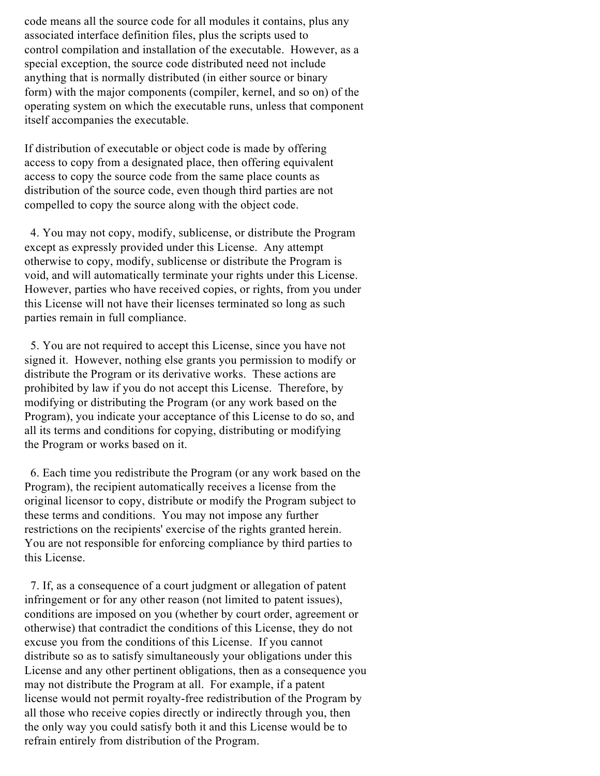code means all the source code for all modules it contains, plus any associated interface definition files, plus the scripts used to control compilation and installation of the executable. However, as a special exception, the source code distributed need not include anything that is normally distributed (in either source or binary form) with the major components (compiler, kernel, and so on) of the operating system on which the executable runs, unless that component itself accompanies the executable.

If distribution of executable or object code is made by offering access to copy from a designated place, then offering equivalent access to copy the source code from the same place counts as distribution of the source code, even though third parties are not compelled to copy the source along with the object code.

4. You may not copy, modify, sublicense, or distribute the Program except as expressly provided under this License. Any attempt otherwise to copy, modify, sublicense or distribute the Program is void, and will automatically terminate your rights under this License. However, parties who have received copies, or rights, from you under this License will not have their licenses terminated so long as such parties remain in full compliance.

5. You are not required to accept this License, since you have not signed it. However, nothing else grants you permission to modify or distribute the Program or its derivative works. These actions are prohibited by law if you do not accept this License. Therefore, by modifying or distributing the Program (or any work based on the Program), you indicate your acceptance of this License to do so, and all its terms and conditions for copying, distributing or modifying the Program or works based on it.

6. Each time you redistribute the Program (or any work based on the Program), the recipient automatically receives a license from the original licensor to copy, distribute or modify the Program subject to these terms and conditions. You may not impose any further restrictions on the recipients' exercise of the rights granted herein. You are not responsible for enforcing compliance by third parties to this License.

7. If, as a consequence of a court judgment or allegation of patent infringement or for any other reason (not limited to patent issues), conditions are imposed on you (whether by court order, agreement or otherwise) that contradict the conditions of this License, they do not excuse you from the conditions of this License. If you cannot distribute so as to satisfy simultaneously your obligations under this License and any other pertinent obligations, then as a consequence you may not distribute the Program at all. For example, if a patent license would not permit royalty-free redistribution of the Program by all those who receive copies directly or indirectly through you, then the only way you could satisfy both it and this License would be to refrain entirely from distribution of the Program.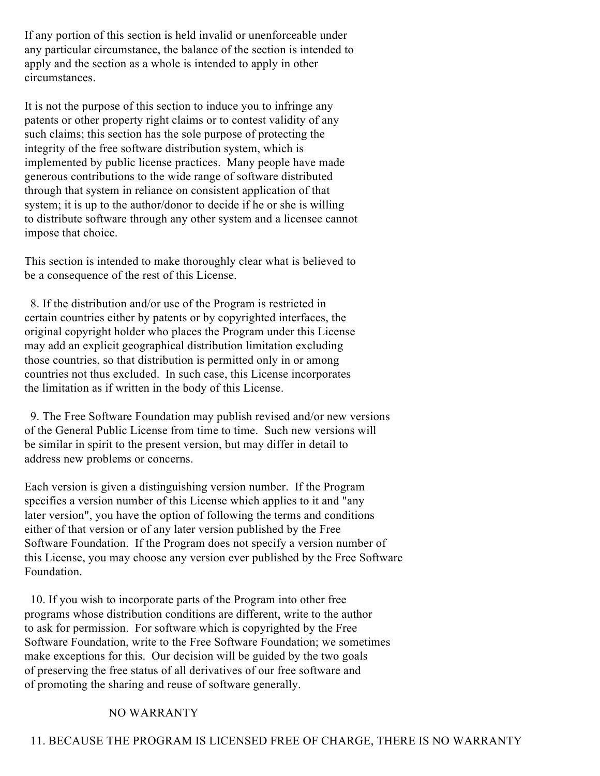If any portion of this section is held invalid or unenforceable under any particular circumstance, the balance of the section is intended to apply and the section as a whole is intended to apply in other circumstances.

It is not the purpose of this section to induce you to infringe any patents or other property right claims or to contest validity of any such claims; this section has the sole purpose of protecting the integrity of the free software distribution system, which is implemented by public license practices. Many people have made generous contributions to the wide range of software distributed through that system in reliance on consistent application of that system; it is up to the author/donor to decide if he or she is willing to distribute software through any other system and a licensee cannot impose that choice.

This section is intended to make thoroughly clear what is believed to be a consequence of the rest of this License.

8. If the distribution and/or use of the Program is restricted in certain countries either by patents or by copyrighted interfaces, the original copyright holder who places the Program under this License may add an explicit geographical distribution limitation excluding those countries, so that distribution is permitted only in or among countries not thus excluded. In such case, this License incorporates the limitation as if written in the body of this License.

9. The Free Software Foundation may publish revised and/or new versions of the General Public License from time to time. Such new versions will be similar in spirit to the present version, but may differ in detail to address new problems or concerns.

Each version is given a distinguishing version number. If the Program specifies a version number of this License which applies to it and "any later version", you have the option of following the terms and conditions either of that version or of any later version published by the Free Software Foundation. If the Program does not specify a version number of this License, you may choose any version ever published by the Free Software Foundation.

10. If you wish to incorporate parts of the Program into other free programs whose distribution conditions are different, write to the author to ask for permission. For software which is copyrighted by the Free Software Foundation, write to the Free Software Foundation; we sometimes make exceptions for this. Our decision will be guided by the two goals of preserving the free status of all derivatives of our free software and of promoting the sharing and reuse of software generally.

## NO WARRANTY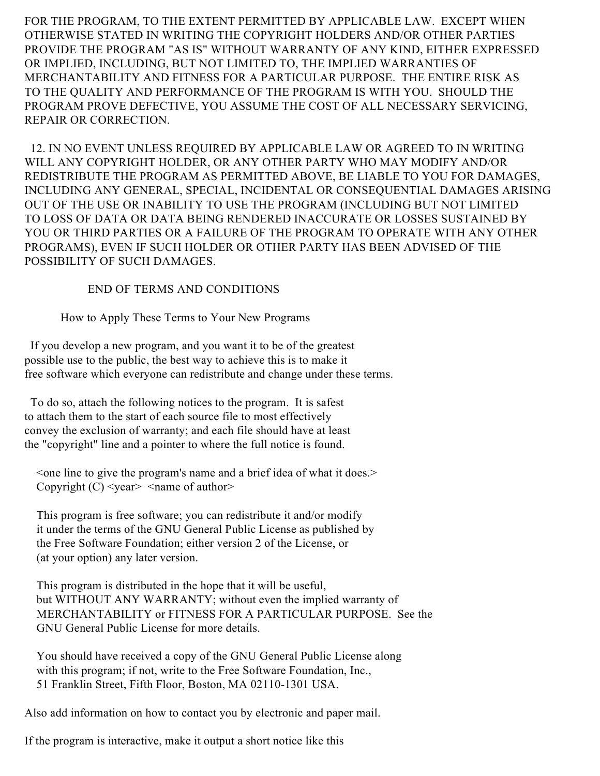FOR THE PROGRAM, TO THE EXTENT PERMITTED BY APPLICABLE LAW. EXCEPT WHEN OTHERWISE STATED IN WRITING THE COPYRIGHT HOLDERS AND/OR OTHER PARTIES PROVIDE THE PROGRAM "AS IS" WITHOUT WARRANTY OF ANY KIND, EITHER EXPRESSED OR IMPLIED, INCLUDING, BUT NOT LIMITED TO, THE IMPLIED WARRANTIES OF MERCHANTABILITY AND FITNESS FOR A PARTICULAR PURPOSE. THE ENTIRE RISK AS TO THE QUALITY AND PERFORMANCE OF THE PROGRAM IS WITH YOU. SHOULD THE PROGRAM PROVE DEFECTIVE, YOU ASSUME THE COST OF ALL NECESSARY SERVICING, REPAIR OR CORRECTION.

12. IN NO EVENT UNLESS REQUIRED BY APPLICABLE LAW OR AGREED TO IN WRITING WILL ANY COPYRIGHT HOLDER, OR ANY OTHER PARTY WHO MAY MODIFY AND/OR REDISTRIBUTE THE PROGRAM AS PERMITTED ABOVE, BE LIABLE TO YOU FOR DAMAGES, INCLUDING ANY GENERAL, SPECIAL, INCIDENTAL OR CONSEQUENTIAL DAMAGES ARISING OUT OF THE USE OR INABILITY TO USE THE PROGRAM (INCLUDING BUT NOT LIMITED TO LOSS OF DATA OR DATA BEING RENDERED INACCURATE OR LOSSES SUSTAINED BY YOU OR THIRD PARTIES OR A FAILURE OF THE PROGRAM TO OPERATE WITH ANY OTHER PROGRAMS), EVEN IF SUCH HOLDER OR OTHER PARTY HAS BEEN ADVISED OF THE POSSIBILITY OF SUCH DAMAGES.

### END OF TERMS AND CONDITIONS

How to Apply These Terms to Your New Programs

If you develop a new program, and you want it to be of the greatest possible use to the public, the best way to achieve this is to make it free software which everyone can redistribute and change under these terms.

To do so, attach the following notices to the program. It is safest to attach them to the start of each source file to most effectively convey the exclusion of warranty; and each file should have at least the "copyright" line and a pointer to where the full notice is found.

<one line to give the program's name and a brief idea of what it does.> Copyright  $(C)$  <year > <name of author>

This program is free software; you can redistribute it and/or modify it under the terms of the GNU General Public License as published by the Free Software Foundation; either version 2 of the License, or (at your option) any later version.

This program is distributed in the hope that it will be useful, but WITHOUT ANY WARRANTY; without even the implied warranty of MERCHANTABILITY or FITNESS FOR A PARTICULAR PURPOSE. See the GNU General Public License for more details.

You should have received a copy of the GNU General Public License along with this program; if not, write to the Free Software Foundation, Inc., 51 Franklin Street, Fifth Floor, Boston, MA 02110-1301 USA.

Also add information on how to contact you by electronic and paper mail.

If the program is interactive, make it output a short notice like this